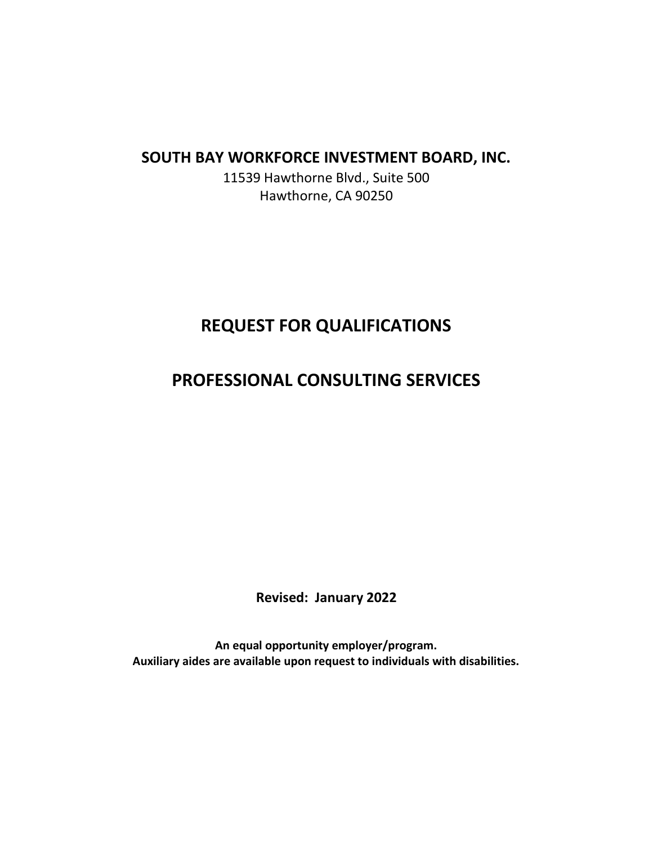# **SOUTH BAY WORKFORCE INVESTMENT BOARD, INC.**

11539 Hawthorne Blvd., Suite 500 Hawthorne, CA 90250

# **REQUEST FOR QUALIFICATIONS**

# **PROFESSIONAL CONSULTING SERVICES**

**Revised: January 2022**

**An equal opportunity employer/program. Auxiliary aides are available upon request to individuals with disabilities.**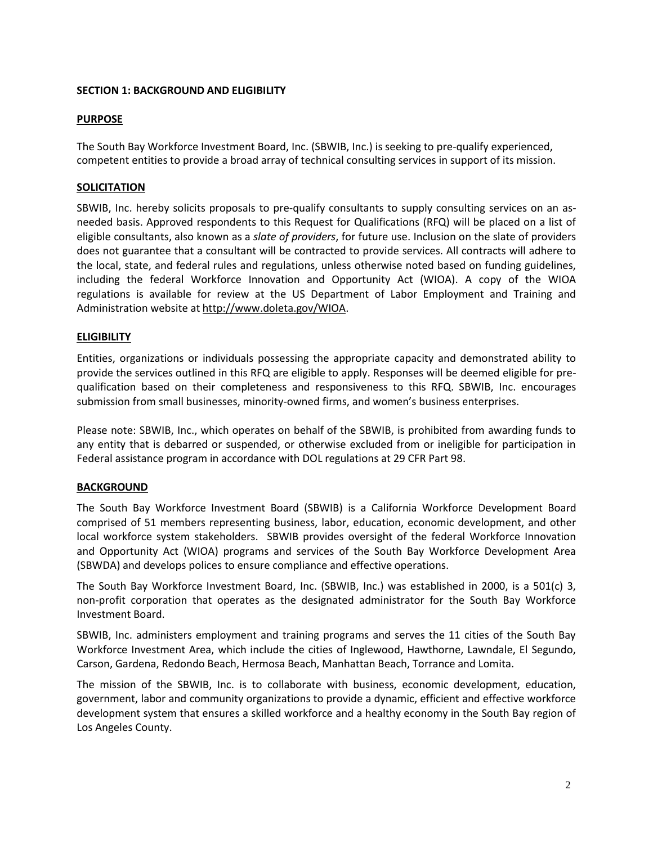## **SECTION 1: BACKGROUND AND ELIGIBILITY**

# **PURPOSE**

The South Bay Workforce Investment Board, Inc. (SBWIB, Inc.) is seeking to pre-qualify experienced, competent entities to provide a broad array of technical consulting services in support of its mission.

# **SOLICITATION**

SBWIB, Inc. hereby solicits proposals to pre-qualify consultants to supply consulting services on an asneeded basis. Approved respondents to this Request for Qualifications (RFQ) will be placed on a list of eligible consultants, also known as a *slate of providers*, for future use. Inclusion on the slate of providers does not guarantee that a consultant will be contracted to provide services. All contracts will adhere to the local, state, and federal rules and regulations, unless otherwise noted based on funding guidelines, including the federal Workforce Innovation and Opportunity Act (WIOA). A copy of the WIOA regulations is available for review at the US Department of Labor Employment and Training and Administration website at [http://www.doleta.gov/WIOA.](http://www.doleta.gov/WIOA)

# **ELIGIBILITY**

Entities, organizations or individuals possessing the appropriate capacity and demonstrated ability to provide the services outlined in this RFQ are eligible to apply. Responses will be deemed eligible for prequalification based on their completeness and responsiveness to this RFQ. SBWIB, Inc. encourages submission from small businesses, minority-owned firms, and women's business enterprises.

Please note: SBWIB, Inc., which operates on behalf of the SBWIB, is prohibited from awarding funds to any entity that is debarred or suspended, or otherwise excluded from or ineligible for participation in Federal assistance program in accordance with DOL regulations at 29 CFR Part 98.

### **BACKGROUND**

The South Bay Workforce Investment Board (SBWIB) is a California Workforce Development Board comprised of 51 members representing business, labor, education, economic development, and other local workforce system stakeholders. SBWIB provides oversight of the federal Workforce Innovation and Opportunity Act (WIOA) programs and services of the South Bay Workforce Development Area (SBWDA) and develops polices to ensure compliance and effective operations.

The South Bay Workforce Investment Board, Inc. (SBWIB, Inc.) was established in 2000, is a 501(c) 3, non-profit corporation that operates as the designated administrator for the South Bay Workforce Investment Board.

SBWIB, Inc. administers employment and training programs and serves the 11 cities of the South Bay Workforce Investment Area, which include the cities of Inglewood, Hawthorne, Lawndale, El Segundo, Carson, Gardena, Redondo Beach, Hermosa Beach, Manhattan Beach, Torrance and Lomita.

The mission of the SBWIB, Inc. is to collaborate with business, economic development, education, government, labor and community organizations to provide a dynamic, efficient and effective workforce development system that ensures a skilled workforce and a healthy economy in the South Bay region of Los Angeles County.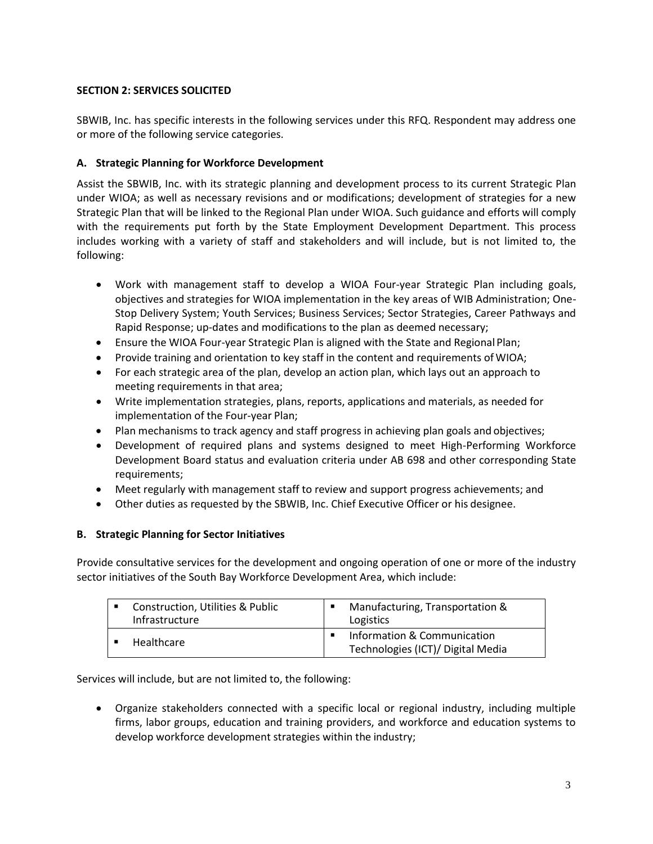# **SECTION 2: SERVICES SOLICITED**

SBWIB, Inc. has specific interests in the following services under this RFQ. Respondent may address one or more of the following service categories.

# **A. Strategic Planning for Workforce Development**

Assist the SBWIB, Inc. with its strategic planning and development process to its current Strategic Plan under WIOA; as well as necessary revisions and or modifications; development of strategies for a new Strategic Plan that will be linked to the Regional Plan under WIOA. Such guidance and efforts will comply with the requirements put forth by the State Employment Development Department. This process includes working with a variety of staff and stakeholders and will include, but is not limited to, the following:

- Work with management staff to develop a WIOA Four-year Strategic Plan including goals, objectives and strategies for WIOA implementation in the key areas of WIB Administration; One-Stop Delivery System; Youth Services; Business Services; Sector Strategies, Career Pathways and Rapid Response; up-dates and modifications to the plan as deemed necessary;
- Ensure the WIOA Four-year Strategic Plan is aligned with the State and Regional Plan;
- Provide training and orientation to key staff in the content and requirements of WIOA;
- For each strategic area of the plan, develop an action plan, which lays out an approach to meeting requirements in that area;
- Write implementation strategies, plans, reports, applications and materials, as needed for implementation of the Four-year Plan;
- Plan mechanisms to track agency and staff progress in achieving plan goals and objectives;
- Development of required plans and systems designed to meet High-Performing Workforce Development Board status and evaluation criteria under AB 698 and other corresponding State requirements;
- Meet regularly with management staff to review and support progress achievements; and
- Other duties as requested by the SBWIB, Inc. Chief Executive Officer or his designee.

# **B. Strategic Planning for Sector Initiatives**

Provide consultative services for the development and ongoing operation of one or more of the industry sector initiatives of the South Bay Workforce Development Area, which include:

| Construction, Utilities & Public<br>Infrastructure | Manufacturing, Transportation &<br>Logistics                     |
|----------------------------------------------------|------------------------------------------------------------------|
| Healthcare                                         | Information & Communication<br>Technologies (ICT)/ Digital Media |

Services will include, but are not limited to, the following:

• Organize stakeholders connected with a specific local or regional industry, including multiple firms, labor groups, education and training providers, and workforce and education systems to develop workforce development strategies within the industry;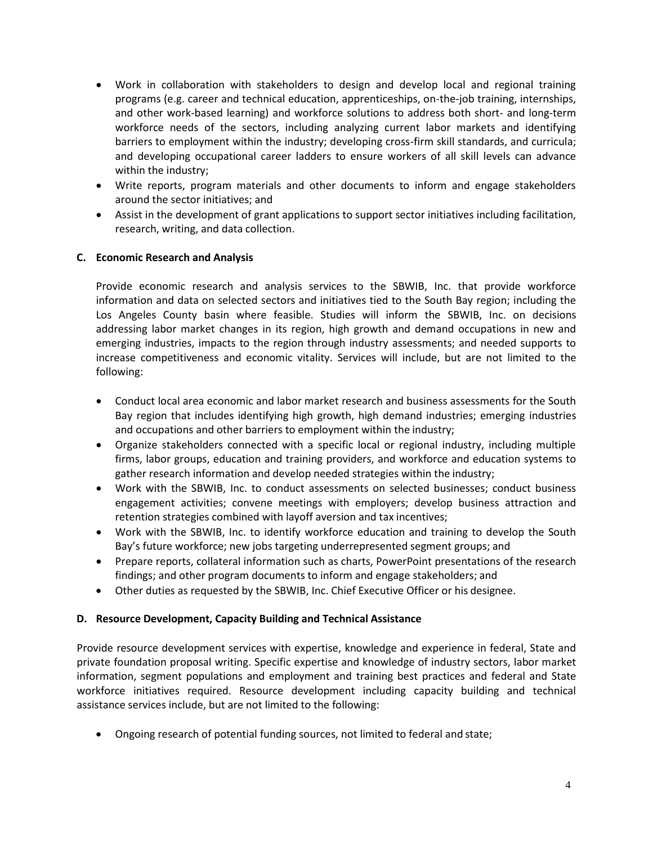- Work in collaboration with stakeholders to design and develop local and regional training programs (e.g. career and technical education, apprenticeships, on-the-job training, internships, and other work-based learning) and workforce solutions to address both short- and long-term workforce needs of the sectors, including analyzing current labor markets and identifying barriers to employment within the industry; developing cross-firm skill standards, and curricula; and developing occupational career ladders to ensure workers of all skill levels can advance within the industry;
- Write reports, program materials and other documents to inform and engage stakeholders around the sector initiatives; and
- Assist in the development of grant applications to support sector initiatives including facilitation, research, writing, and data collection.

# **C. Economic Research and Analysis**

Provide economic research and analysis services to the SBWIB, Inc. that provide workforce information and data on selected sectors and initiatives tied to the South Bay region; including the Los Angeles County basin where feasible. Studies will inform the SBWIB, Inc. on decisions addressing labor market changes in its region, high growth and demand occupations in new and emerging industries, impacts to the region through industry assessments; and needed supports to increase competitiveness and economic vitality. Services will include, but are not limited to the following:

- Conduct local area economic and labor market research and business assessments for the South Bay region that includes identifying high growth, high demand industries; emerging industries and occupations and other barriers to employment within the industry;
- Organize stakeholders connected with a specific local or regional industry, including multiple firms, labor groups, education and training providers, and workforce and education systems to gather research information and develop needed strategies within the industry;
- Work with the SBWIB, Inc. to conduct assessments on selected businesses; conduct business engagement activities; convene meetings with employers; develop business attraction and retention strategies combined with layoff aversion and tax incentives;
- Work with the SBWIB, Inc. to identify workforce education and training to develop the South Bay's future workforce; new jobs targeting underrepresented segment groups; and
- Prepare reports, collateral information such as charts, PowerPoint presentations of the research findings; and other program documents to inform and engage stakeholders; and
- Other duties as requested by the SBWIB, Inc. Chief Executive Officer or his designee.

### **D. Resource Development, Capacity Building and Technical Assistance**

Provide resource development services with expertise, knowledge and experience in federal, State and private foundation proposal writing. Specific expertise and knowledge of industry sectors, labor market information, segment populations and employment and training best practices and federal and State workforce initiatives required. Resource development including capacity building and technical assistance services include, but are not limited to the following:

• Ongoing research of potential funding sources, not limited to federal and state;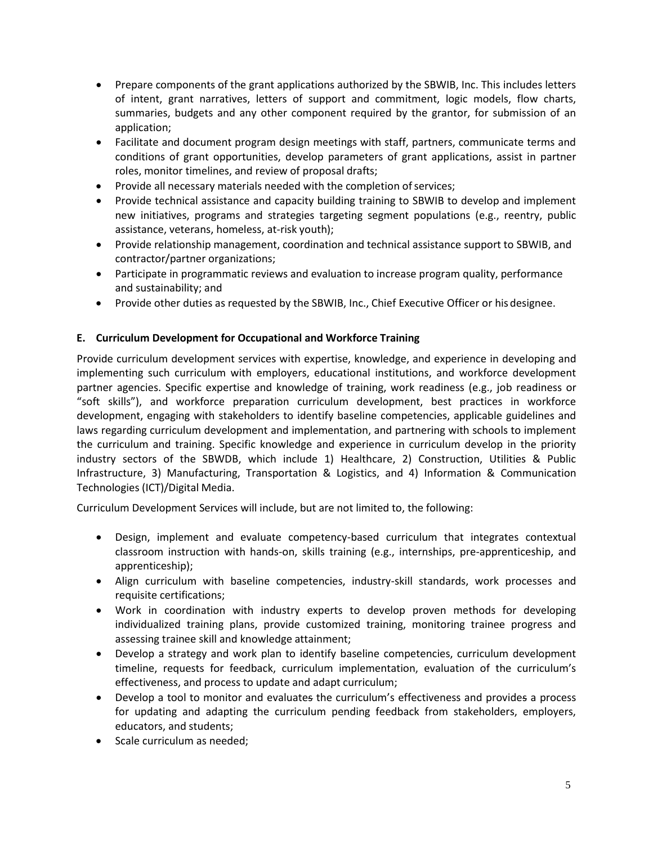- Prepare components of the grant applications authorized by the SBWIB, Inc. This includes letters of intent, grant narratives, letters of support and commitment, logic models, flow charts, summaries, budgets and any other component required by the grantor, for submission of an application;
- Facilitate and document program design meetings with staff, partners, communicate terms and conditions of grant opportunities, develop parameters of grant applications, assist in partner roles, monitor timelines, and review of proposal drafts;
- Provide all necessary materials needed with the completion of services;
- Provide technical assistance and capacity building training to SBWIB to develop and implement new initiatives, programs and strategies targeting segment populations (e.g., reentry, public assistance, veterans, homeless, at-risk youth);
- Provide relationship management, coordination and technical assistance support to SBWIB, and contractor/partner organizations;
- Participate in programmatic reviews and evaluation to increase program quality, performance and sustainability; and
- Provide other duties as requested by the SBWIB, Inc., Chief Executive Officer or his designee.

# **E. Curriculum Development for Occupational and Workforce Training**

Provide curriculum development services with expertise, knowledge, and experience in developing and implementing such curriculum with employers, educational institutions, and workforce development partner agencies. Specific expertise and knowledge of training, work readiness (e.g., job readiness or "soft skills"), and workforce preparation curriculum development, best practices in workforce development, engaging with stakeholders to identify baseline competencies, applicable guidelines and laws regarding curriculum development and implementation, and partnering with schools to implement the curriculum and training. Specific knowledge and experience in curriculum develop in the priority industry sectors of the SBWDB, which include 1) Healthcare, 2) Construction, Utilities & Public Infrastructure, 3) Manufacturing, Transportation & Logistics, and 4) Information & Communication Technologies (ICT)/Digital Media.

Curriculum Development Services will include, but are not limited to, the following:

- Design, implement and evaluate competency-based curriculum that integrates contextual classroom instruction with hands-on, skills training (e.g., internships, pre-apprenticeship, and apprenticeship);
- Align curriculum with baseline competencies, industry-skill standards, work processes and requisite certifications;
- Work in coordination with industry experts to develop proven methods for developing individualized training plans, provide customized training, monitoring trainee progress and assessing trainee skill and knowledge attainment;
- Develop a strategy and work plan to identify baseline competencies, curriculum development timeline, requests for feedback, curriculum implementation, evaluation of the curriculum's effectiveness, and process to update and adapt curriculum;
- Develop a tool to monitor and evaluates the curriculum's effectiveness and provides a process for updating and adapting the curriculum pending feedback from stakeholders, employers, educators, and students;
- Scale curriculum as needed;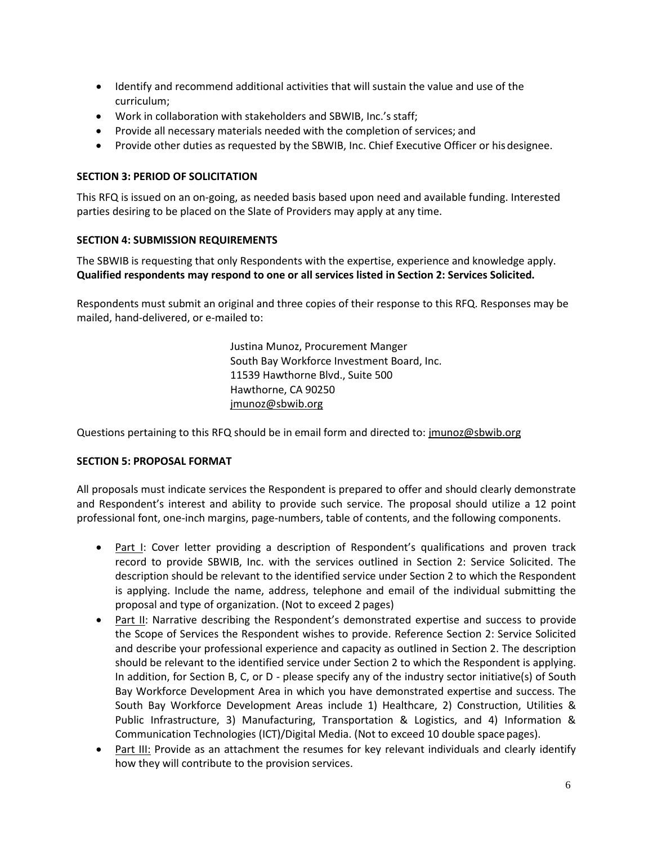- Identify and recommend additional activities that will sustain the value and use of the curriculum;
- Work in collaboration with stakeholders and SBWIB, Inc.'s staff;
- Provide all necessary materials needed with the completion of services; and
- Provide other duties as requested by the SBWIB, Inc. Chief Executive Officer or hisdesignee.

### **SECTION 3: PERIOD OF SOLICITATION**

This RFQ is issued on an on-going, as needed basis based upon need and available funding. Interested parties desiring to be placed on the Slate of Providers may apply at any time.

#### **SECTION 4: SUBMISSION REQUIREMENTS**

The SBWIB is requesting that only Respondents with the expertise, experience and knowledge apply. **Qualified respondents may respond to one or all services listed in Section 2: Services Solicited.**

Respondents must submit an original and three copies of their response to this RFQ. Responses may be mailed, hand-delivered, or e-mailed to:

> Justina Munoz, Procurement Manger South Bay Workforce Investment Board, Inc. 11539 Hawthorne Blvd., Suite 500 Hawthorne, CA 90250 [jmunoz@sbwib.org](mailto:jmunoz@sbwib.org)

Questions pertaining to this RFQ should be in email form and directed to[: jmunoz@sbwib.org](mailto:jmunoz@sbwib.org)

### **SECTION 5: PROPOSAL FORMAT**

All proposals must indicate services the Respondent is prepared to offer and should clearly demonstrate and Respondent's interest and ability to provide such service. The proposal should utilize a 12 point professional font, one-inch margins, page-numbers, table of contents, and the following components.

- Part I: Cover letter providing a description of Respondent's qualifications and proven track record to provide SBWIB, Inc. with the services outlined in Section 2: Service Solicited. The description should be relevant to the identified service under Section 2 to which the Respondent is applying. Include the name, address, telephone and email of the individual submitting the proposal and type of organization. (Not to exceed 2 pages)
- Part II: Narrative describing the Respondent's demonstrated expertise and success to provide the Scope of Services the Respondent wishes to provide. Reference Section 2: Service Solicited and describe your professional experience and capacity as outlined in Section 2. The description should be relevant to the identified service under Section 2 to which the Respondent is applying. In addition, for Section B, C, or D - please specify any of the industry sector initiative(s) of South Bay Workforce Development Area in which you have demonstrated expertise and success. The South Bay Workforce Development Areas include 1) Healthcare, 2) Construction, Utilities & Public Infrastructure, 3) Manufacturing, Transportation & Logistics, and 4) Information & Communication Technologies (ICT)/Digital Media. (Not to exceed 10 double space pages).
- Part III: Provide as an attachment the resumes for key relevant individuals and clearly identify how they will contribute to the provision services.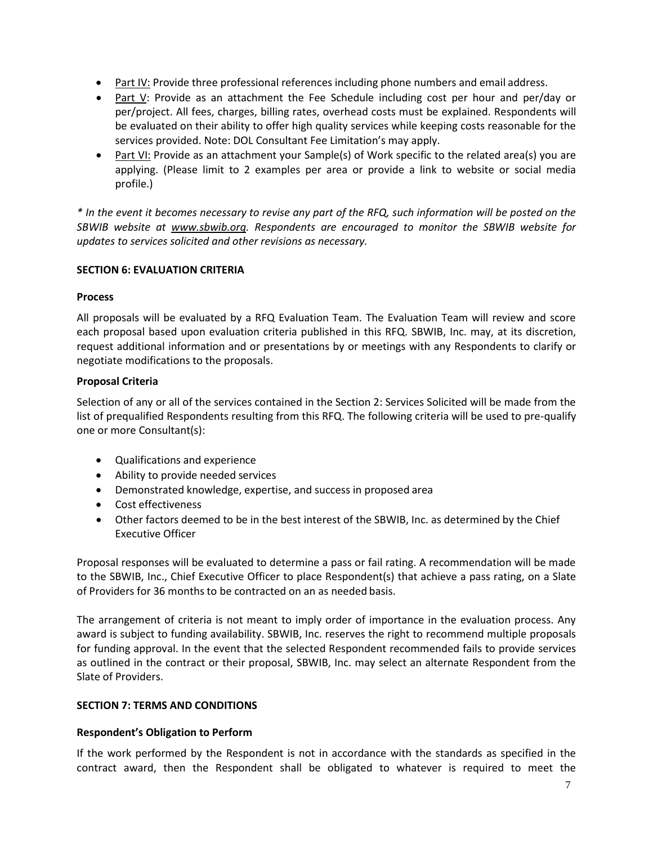- Part IV: Provide three professional references including phone numbers and email address.
- Part V: Provide as an attachment the Fee Schedule including cost per hour and per/day or per/project. All fees, charges, billing rates, overhead costs must be explained. Respondents will be evaluated on their ability to offer high quality services while keeping costs reasonable for the services provided. Note: DOL Consultant Fee Limitation's may apply.
- Part VI: Provide as an attachment your Sample(s) of Work specific to the related area(s) you are applying. (Please limit to 2 examples per area or provide a link to website or social media profile.)

*\* In the event it becomes necessary to revise any part of the RFQ, such information will be posted on the SBWIB website at [www.sbwib.org.](http://www.sbwib.org/) Respondents are encouraged to monitor the SBWIB website for updates to services solicited and other revisions as necessary.*

# **SECTION 6: EVALUATION CRITERIA**

# **Process**

All proposals will be evaluated by a RFQ Evaluation Team. The Evaluation Team will review and score each proposal based upon evaluation criteria published in this RFQ. SBWIB, Inc. may, at its discretion, request additional information and or presentations by or meetings with any Respondents to clarify or negotiate modifications to the proposals.

# **Proposal Criteria**

Selection of any or all of the services contained in the Section 2: Services Solicited will be made from the list of prequalified Respondents resulting from this RFQ. The following criteria will be used to pre-qualify one or more Consultant(s):

- Qualifications and experience
- Ability to provide needed services
- Demonstrated knowledge, expertise, and success in proposed area
- Cost effectiveness
- Other factors deemed to be in the best interest of the SBWIB, Inc. as determined by the Chief Executive Officer

Proposal responses will be evaluated to determine a pass or fail rating. A recommendation will be made to the SBWIB, Inc., Chief Executive Officer to place Respondent(s) that achieve a pass rating, on a Slate of Providers for 36 months to be contracted on an as needed basis.

The arrangement of criteria is not meant to imply order of importance in the evaluation process. Any award is subject to funding availability. SBWIB, Inc. reserves the right to recommend multiple proposals for funding approval. In the event that the selected Respondent recommended fails to provide services as outlined in the contract or their proposal, SBWIB, Inc. may select an alternate Respondent from the Slate of Providers.

# **SECTION 7: TERMS AND CONDITIONS**

# **Respondent's Obligation to Perform**

If the work performed by the Respondent is not in accordance with the standards as specified in the contract award, then the Respondent shall be obligated to whatever is required to meet the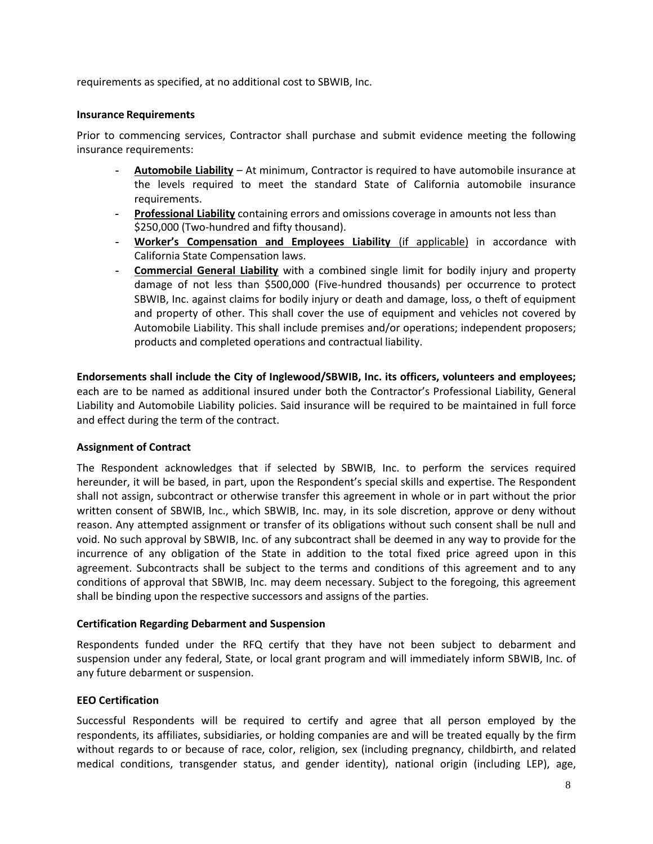requirements as specified, at no additional cost to SBWIB, Inc.

#### **Insurance Requirements**

Prior to commencing services, Contractor shall purchase and submit evidence meeting the following insurance requirements:

- **- Automobile Liability** At minimum, Contractor is required to have automobile insurance at the levels required to meet the standard State of California automobile insurance requirements.
- **- Professional Liability** containing errors and omissions coverage in amounts not less than \$250,000 (Two-hundred and fifty thousand).
- **- Worker's Compensation and Employees Liability** (if applicable) in accordance with California State Compensation laws.
- **- Commercial General Liability** with a combined single limit for bodily injury and property damage of not less than \$500,000 (Five-hundred thousands) per occurrence to protect SBWIB, Inc. against claims for bodily injury or death and damage, loss, o theft of equipment and property of other. This shall cover the use of equipment and vehicles not covered by Automobile Liability. This shall include premises and/or operations; independent proposers; products and completed operations and contractual liability.

**Endorsements shall include the City of Inglewood/SBWIB, Inc. its officers, volunteers and employees;**  each are to be named as additional insured under both the Contractor's Professional Liability, General Liability and Automobile Liability policies. Said insurance will be required to be maintained in full force and effect during the term of the contract.

### **Assignment of Contract**

The Respondent acknowledges that if selected by SBWIB, Inc. to perform the services required hereunder, it will be based, in part, upon the Respondent's special skills and expertise. The Respondent shall not assign, subcontract or otherwise transfer this agreement in whole or in part without the prior written consent of SBWIB, Inc., which SBWIB, Inc. may, in its sole discretion, approve or deny without reason. Any attempted assignment or transfer of its obligations without such consent shall be null and void. No such approval by SBWIB, Inc. of any subcontract shall be deemed in any way to provide for the incurrence of any obligation of the State in addition to the total fixed price agreed upon in this agreement. Subcontracts shall be subject to the terms and conditions of this agreement and to any conditions of approval that SBWIB, Inc. may deem necessary. Subject to the foregoing, this agreement shall be binding upon the respective successors and assigns of the parties.

### **Certification Regarding Debarment and Suspension**

Respondents funded under the RFQ certify that they have not been subject to debarment and suspension under any federal, State, or local grant program and will immediately inform SBWIB, Inc. of any future debarment or suspension.

### **EEO Certification**

Successful Respondents will be required to certify and agree that all person employed by the respondents, its affiliates, subsidiaries, or holding companies are and will be treated equally by the firm without regards to or because of race, color, religion, sex (including pregnancy, childbirth, and related medical conditions, transgender status, and gender identity), national origin (including LEP), age,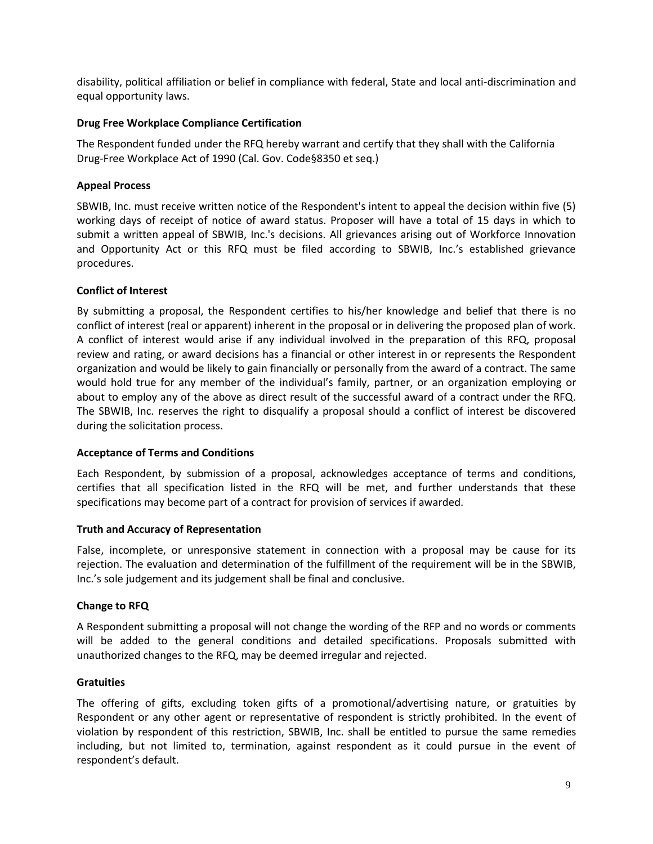disability, political affiliation or belief in compliance with federal, State and local anti-discrimination and equal opportunity laws.

# **Drug Free Workplace Compliance Certification**

The Respondent funded under the RFQ hereby warrant and certify that they shall with the California Drug-Free Workplace Act of 1990 (Cal. Gov. Code§8350 et seq.)

# **Appeal Process**

SBWIB, Inc. must receive written notice of the Respondent's intent to appeal the decision within five (5) working days of receipt of notice of award status. Proposer will have a total of 15 days in which to submit a written appeal of SBWIB, Inc.'s decisions. All grievances arising out of Workforce Innovation and Opportunity Act or this RFQ must be filed according to SBWIB, Inc.'s established grievance procedures.

# **Conflict of Interest**

By submitting a proposal, the Respondent certifies to his/her knowledge and belief that there is no conflict of interest (real or apparent) inherent in the proposal or in delivering the proposed plan of work. A conflict of interest would arise if any individual involved in the preparation of this RFQ, proposal review and rating, or award decisions has a financial or other interest in or represents the Respondent organization and would be likely to gain financially or personally from the award of a contract. The same would hold true for any member of the individual's family, partner, or an organization employing or about to employ any of the above as direct result of the successful award of a contract under the RFQ. The SBWIB, Inc. reserves the right to disqualify a proposal should a conflict of interest be discovered during the solicitation process.

### **Acceptance of Terms and Conditions**

Each Respondent, by submission of a proposal, acknowledges acceptance of terms and conditions, certifies that all specification listed in the RFQ will be met, and further understands that these specifications may become part of a contract for provision of services if awarded.

### **Truth and Accuracy of Representation**

False, incomplete, or unresponsive statement in connection with a proposal may be cause for its rejection. The evaluation and determination of the fulfillment of the requirement will be in the SBWIB, Inc.'s sole judgement and its judgement shall be final and conclusive.

### **Change to RFQ**

A Respondent submitting a proposal will not change the wording of the RFP and no words or comments will be added to the general conditions and detailed specifications. Proposals submitted with unauthorized changes to the RFQ, may be deemed irregular and rejected.

### **Gratuities**

The offering of gifts, excluding token gifts of a promotional/advertising nature, or gratuities by Respondent or any other agent or representative of respondent is strictly prohibited. In the event of violation by respondent of this restriction, SBWIB, Inc. shall be entitled to pursue the same remedies including, but not limited to, termination, against respondent as it could pursue in the event of respondent's default.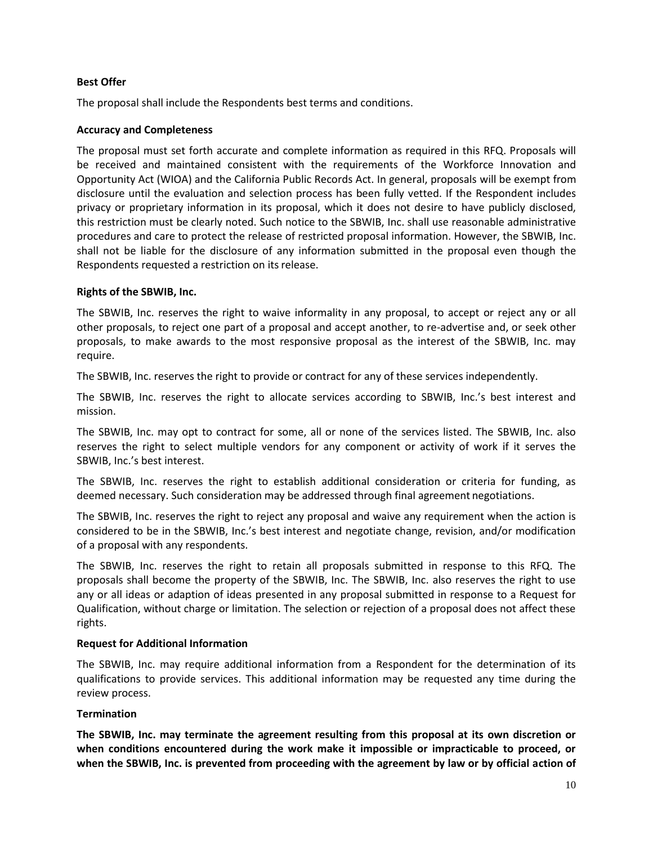## **Best Offer**

The proposal shall include the Respondents best terms and conditions.

# **Accuracy and Completeness**

The proposal must set forth accurate and complete information as required in this RFQ. Proposals will be received and maintained consistent with the requirements of the Workforce Innovation and Opportunity Act (WIOA) and the California Public Records Act. In general, proposals will be exempt from disclosure until the evaluation and selection process has been fully vetted. If the Respondent includes privacy or proprietary information in its proposal, which it does not desire to have publicly disclosed, this restriction must be clearly noted. Such notice to the SBWIB, Inc. shall use reasonable administrative procedures and care to protect the release of restricted proposal information. However, the SBWIB, Inc. shall not be liable for the disclosure of any information submitted in the proposal even though the Respondents requested a restriction on its release.

### **Rights of the SBWIB, Inc.**

The SBWIB, Inc. reserves the right to waive informality in any proposal, to accept or reject any or all other proposals, to reject one part of a proposal and accept another, to re-advertise and, or seek other proposals, to make awards to the most responsive proposal as the interest of the SBWIB, Inc. may require.

The SBWIB, Inc. reserves the right to provide or contract for any of these services independently.

The SBWIB, Inc. reserves the right to allocate services according to SBWIB, Inc.'s best interest and mission.

The SBWIB, Inc. may opt to contract for some, all or none of the services listed. The SBWIB, Inc. also reserves the right to select multiple vendors for any component or activity of work if it serves the SBWIB, Inc.'s best interest.

The SBWIB, Inc. reserves the right to establish additional consideration or criteria for funding, as deemed necessary. Such consideration may be addressed through final agreement negotiations.

The SBWIB, Inc. reserves the right to reject any proposal and waive any requirement when the action is considered to be in the SBWIB, Inc.'s best interest and negotiate change, revision, and/or modification of a proposal with any respondents.

The SBWIB, Inc. reserves the right to retain all proposals submitted in response to this RFQ. The proposals shall become the property of the SBWIB, Inc. The SBWIB, Inc. also reserves the right to use any or all ideas or adaption of ideas presented in any proposal submitted in response to a Request for Qualification, without charge or limitation. The selection or rejection of a proposal does not affect these rights.

### **Request for Additional Information**

The SBWIB, Inc. may require additional information from a Respondent for the determination of its qualifications to provide services. This additional information may be requested any time during the review process.

# **Termination**

**The SBWIB, Inc. may terminate the agreement resulting from this proposal at its own discretion or when conditions encountered during the work make it impossible or impracticable to proceed, or when the SBWIB, Inc. is prevented from proceeding with the agreement by law or by official action of**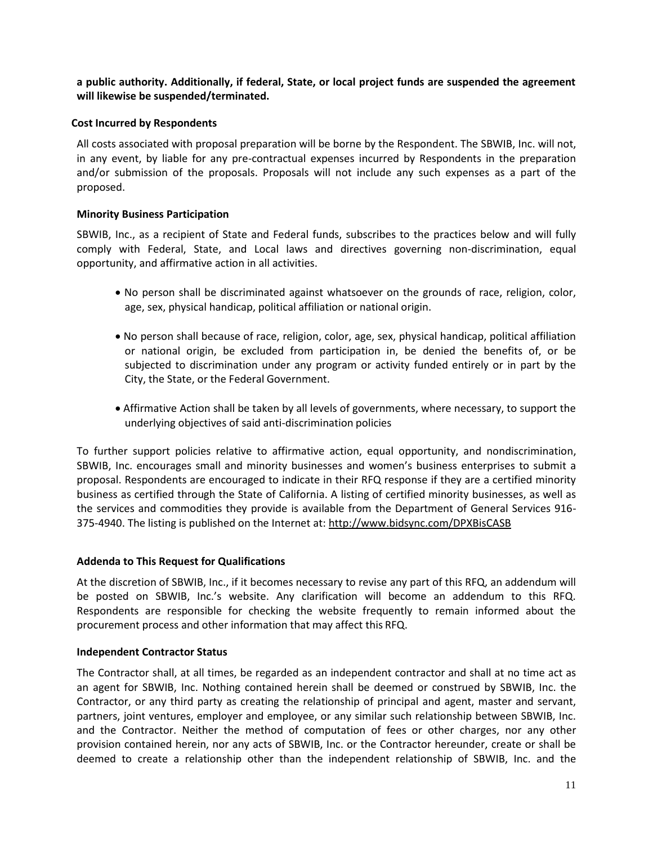**a public authority. Additionally, if federal, State, or local project funds are suspended the agreement will likewise be suspended/terminated.**

# **Cost Incurred by Respondents**

All costs associated with proposal preparation will be borne by the Respondent. The SBWIB, Inc. will not, in any event, by liable for any pre-contractual expenses incurred by Respondents in the preparation and/or submission of the proposals. Proposals will not include any such expenses as a part of the proposed.

# **Minority Business Participation**

SBWIB, Inc., as a recipient of State and Federal funds, subscribes to the practices below and will fully comply with Federal, State, and Local laws and directives governing non-discrimination, equal opportunity, and affirmative action in all activities.

- No person shall be discriminated against whatsoever on the grounds of race, religion, color, age, sex, physical handicap, political affiliation or national origin.
- No person shall because of race, religion, color, age, sex, physical handicap, political affiliation or national origin, be excluded from participation in, be denied the benefits of, or be subjected to discrimination under any program or activity funded entirely or in part by the City, the State, or the Federal Government.
- Affirmative Action shall be taken by all levels of governments, where necessary, to support the underlying objectives of said anti-discrimination policies

To further support policies relative to affirmative action, equal opportunity, and nondiscrimination, SBWIB, Inc. encourages small and minority businesses and women's business enterprises to submit a proposal. Respondents are encouraged to indicate in their RFQ response if they are a certified minority business as certified through the State of California. A listing of certified minority businesses, as well as the services and commodities they provide is available from the Department of General Services 916- 375-4940. The listing is published on the Internet at:<http://www.bidsync.com/DPXBisCASB>

### **Addenda to This Request for Qualifications**

At the discretion of SBWIB, Inc., if it becomes necessary to revise any part of this RFQ, an addendum will be posted on SBWIB, Inc.'s website. Any clarification will become an addendum to this RFQ. Respondents are responsible for checking the website frequently to remain informed about the procurement process and other information that may affect this RFQ.

### **Independent Contractor Status**

The Contractor shall, at all times, be regarded as an independent contractor and shall at no time act as an agent for SBWIB, Inc. Nothing contained herein shall be deemed or construed by SBWIB, Inc. the Contractor, or any third party as creating the relationship of principal and agent, master and servant, partners, joint ventures, employer and employee, or any similar such relationship between SBWIB, Inc. and the Contractor. Neither the method of computation of fees or other charges, nor any other provision contained herein, nor any acts of SBWIB, Inc. or the Contractor hereunder, create or shall be deemed to create a relationship other than the independent relationship of SBWIB, Inc. and the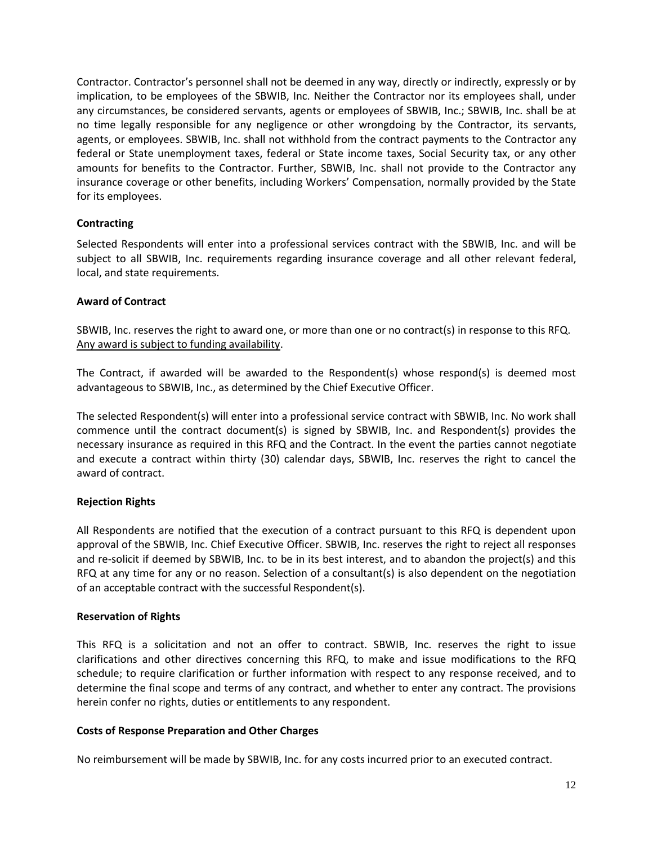Contractor. Contractor's personnel shall not be deemed in any way, directly or indirectly, expressly or by implication, to be employees of the SBWIB, Inc. Neither the Contractor nor its employees shall, under any circumstances, be considered servants, agents or employees of SBWIB, Inc.; SBWIB, Inc. shall be at no time legally responsible for any negligence or other wrongdoing by the Contractor, its servants, agents, or employees. SBWIB, Inc. shall not withhold from the contract payments to the Contractor any federal or State unemployment taxes, federal or State income taxes, Social Security tax, or any other amounts for benefits to the Contractor. Further, SBWIB, Inc. shall not provide to the Contractor any insurance coverage or other benefits, including Workers' Compensation, normally provided by the State for its employees.

# **Contracting**

Selected Respondents will enter into a professional services contract with the SBWIB, Inc. and will be subject to all SBWIB, Inc. requirements regarding insurance coverage and all other relevant federal, local, and state requirements.

### **Award of Contract**

SBWIB, Inc. reserves the right to award one, or more than one or no contract(s) in response to this RFQ. Any award is subject to funding availability.

The Contract, if awarded will be awarded to the Respondent(s) whose respond(s) is deemed most advantageous to SBWIB, Inc., as determined by the Chief Executive Officer.

The selected Respondent(s) will enter into a professional service contract with SBWIB, Inc. No work shall commence until the contract document(s) is signed by SBWIB, Inc. and Respondent(s) provides the necessary insurance as required in this RFQ and the Contract. In the event the parties cannot negotiate and execute a contract within thirty (30) calendar days, SBWIB, Inc. reserves the right to cancel the award of contract.

# **Rejection Rights**

All Respondents are notified that the execution of a contract pursuant to this RFQ is dependent upon approval of the SBWIB, Inc. Chief Executive Officer. SBWIB, Inc. reserves the right to reject all responses and re-solicit if deemed by SBWIB, Inc. to be in its best interest, and to abandon the project(s) and this RFQ at any time for any or no reason. Selection of a consultant(s) is also dependent on the negotiation of an acceptable contract with the successful Respondent(s).

### **Reservation of Rights**

This RFQ is a solicitation and not an offer to contract. SBWIB, Inc. reserves the right to issue clarifications and other directives concerning this RFQ, to make and issue modifications to the RFQ schedule; to require clarification or further information with respect to any response received, and to determine the final scope and terms of any contract, and whether to enter any contract. The provisions herein confer no rights, duties or entitlements to any respondent.

### **Costs of Response Preparation and Other Charges**

No reimbursement will be made by SBWIB, Inc. for any costs incurred prior to an executed contract.